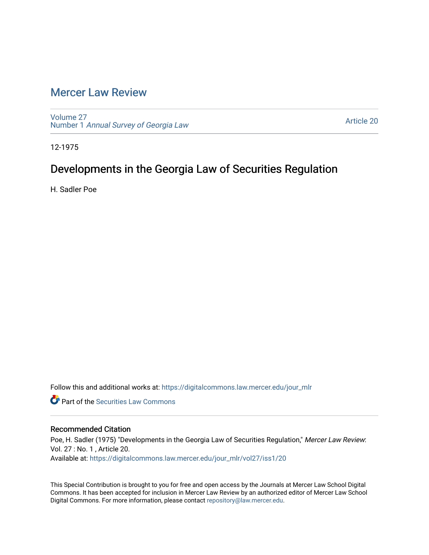# [Mercer Law Review](https://digitalcommons.law.mercer.edu/jour_mlr)

[Volume 27](https://digitalcommons.law.mercer.edu/jour_mlr/vol27) Number 1 [Annual Survey of Georgia Law](https://digitalcommons.law.mercer.edu/jour_mlr/vol27/iss1) 

[Article 20](https://digitalcommons.law.mercer.edu/jour_mlr/vol27/iss1/20) 

12-1975

# Developments in the Georgia Law of Securities Regulation

H. Sadler Poe

Follow this and additional works at: [https://digitalcommons.law.mercer.edu/jour\\_mlr](https://digitalcommons.law.mercer.edu/jour_mlr?utm_source=digitalcommons.law.mercer.edu%2Fjour_mlr%2Fvol27%2Fiss1%2F20&utm_medium=PDF&utm_campaign=PDFCoverPages)

**C** Part of the Securities Law Commons

# Recommended Citation

Poe, H. Sadler (1975) "Developments in the Georgia Law of Securities Regulation," Mercer Law Review: Vol. 27 : No. 1 , Article 20. Available at: [https://digitalcommons.law.mercer.edu/jour\\_mlr/vol27/iss1/20](https://digitalcommons.law.mercer.edu/jour_mlr/vol27/iss1/20?utm_source=digitalcommons.law.mercer.edu%2Fjour_mlr%2Fvol27%2Fiss1%2F20&utm_medium=PDF&utm_campaign=PDFCoverPages) 

This Special Contribution is brought to you for free and open access by the Journals at Mercer Law School Digital Commons. It has been accepted for inclusion in Mercer Law Review by an authorized editor of Mercer Law School Digital Commons. For more information, please contact [repository@law.mercer.edu](mailto:repository@law.mercer.edu).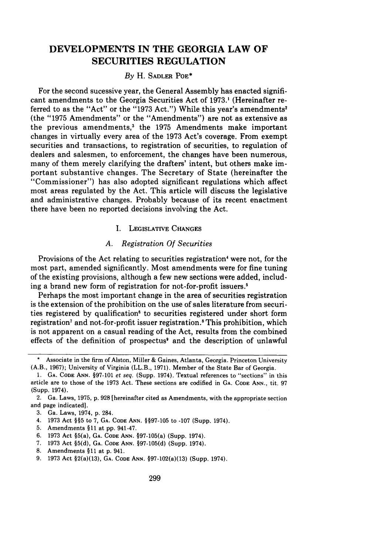# **DEVELOPMENTS IN THE GEORGIA LAW OF SECURITIES REGULATION**

### *By* H. SADLER POE\*

For the second sucessive year, the General Assembly has enacted significant amendments to the Georgia Securities Act of 1973.' (Hereinafter referred to as the "Act" or the "1973 Act.") While this year's amendments<sup>2</sup> (the "1975 Amendments" or the "Amendments") are not as extensive as the previous amendments,' the 1975 Amendments make important changes in virtually every area of the 1973 Act's coverage. From exempt securities and transactions, to registration of securities, to regulation of dealers and salesmen, to enforcement, the changes have been numerous, many of them merely clarifying the drafters' intent, but others make important substantive changes. The Secretary of State (hereinafter the "Commissioner") has also adopted significant regulations which affect most areas regulated by the Act. This article will discuss the legislative and administrative changes. Probably because of its recent enactment there have been no reported decisions involving the Act.

### **I.** LEGISLATIVE CHANGES

# *A. Registration Of Securities*

Provisions of the Act relating to securities registration' were not, for the most part, amended significantly. Most amendments were for fine tuning of the existing provisions, although a few new sections were added, including a brand new form of registration for not-for-profit issuers.'

Perhaps the most important change in the area of securities registration is the extension of the prohibition on the use of sales literature from securities registered by qualification' to securities registered under short form registration<sup>7</sup> and not-for-profit issuer registration.<sup>8</sup> This prohibition, which is not apparent on a casual reading of the Act, results from the combined effects of the definition of prospectus' and the description of unlawful

- 4. 1973 Act **§§5** to 7, **GA.** CODE ANN. §§97-105 to **-107** (Supp. 1974).
- **5.** Amendments §11 at pp. 941-47.
- 6. **1973** Act §5(a), **GA. CODE ANN.** §97-105(a) (Supp. 1974).
- 7. **1973** Act §5(d), **GA. CODE ANN.** §97-105(d) (Supp. 1974).
- **8.** Amendments **§11** at p. 941.

Associate in the firm of Alston, Miller & Gaines, Atlanta, Georgia. Princeton University (A.B., 1967); University of Virginia (LL.B., 1971). Member of the State Bar of Georgia.

<sup>1.</sup> **GA. CODE ANN.** §97-101 et seq. (Supp. 1974). Textual references to "sections" in this article are to those of the 1973 Act. These sections are codified in GA. CODE ANN., tit. 97 (Supp. 1974).

<sup>2.</sup> Ga. Laws, 1975, p. 928 [hereinafter cited as Amendments, with the appropriate section and page indicated].

<sup>3.</sup> Ga. Laws, 1974, p. 284.

**<sup>9. 1973</sup>** Act §2(a)(13), **GA. CODE ANN.** §97-102(a)(13) (Supp. 1974).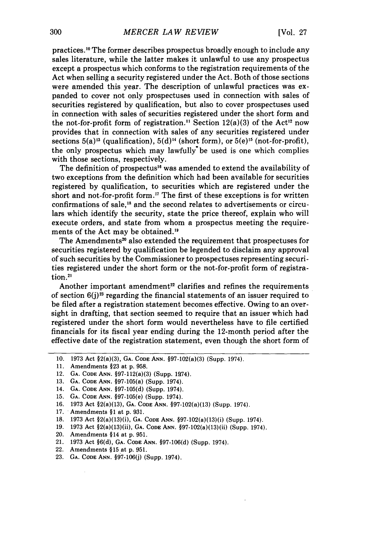practices. 0 The former describes prospectus broadly enough to include any sales literature, while the latter makes it unlawful to use any prospectus except a prospectus which conforms to the registration requirements of the Act when selling a security registered under the Act. Both of those sections were amended this year. The description of unlawful practices was expanded to cover not only prospectuses used in connection with sales of securities registered by qualification, but also to cover prospectuses used in connection with sales of securities registered under the short form and the not-for-profit form of registration.<sup>11</sup> Section 12(a)(3) of the Act<sup>12</sup> now provides that in connection with sales of any securities registered under sections  $5(a)^{13}$  (qualification),  $5(d)^{14}$  (short form), or  $5(e)^{15}$  (not-for-profit), the only prospectus which may lawfully'be used is one which complies with those sections, respectively.

The definition of prospectus<sup>16</sup> was amended to extend the availability of two exceptions from the definition which had been available for securities registered by qualification, to securities which are registered under the short and not-for-profit form.'7 The first of these exceptions is for written confirmations of sale," and the second relates to advertisements or circulars which identify the security, state the price thereof, explain who will execute orders, and state from whom a prospectus meeting the requirements of the Act may be obtained."

The Amendments<sup>20</sup> also extended the requirement that prospectuses for securities registered by qualification be legended to disclaim any approval of such securities by the Commissioner to prospectuses representing securities registered under the short form or the not-for-profit form of registration.<sup>21</sup>

Another important amendment<sup>22</sup> clarifies and refines the requirements of section **6(j)23** regarding the financial statements of an issuer required to be filed after a registration statement becomes effective. Owing to an oversight in drafting, that section seemed to require that an issuer which had registered under the short form would nevertheless have to file certified financials for its fiscal year ending during the 12-month period after the effective date of the registration statement, even though the short form of

- 13. **GA.** CODE ANN. §97-105(a) (Supp. 1974).
- 14. **GA.** CODE ANN. §97-105(d) (Supp. 1974).
- 15. **GA.** CODE ANN. §97-105(e) (Supp. 1974).
- 16. 1973 Act §2(a)(13), **GA.** CODE ANN. §97-102(a)(13) (Supp. 1974).
- 17. Amendments **§1** at p. 931.
- 18. 1973 Act §2(a)(13)(i), **GA.** CODE **ANN.** §97-102(a)(13)(i) (Supp. 1974).
- 19. 1973 Act §2(a)(13)(ii), **GA.** CODE ANN. §97-102(a)(13)(ii) (Supp. 1974).
- 20. Amendments §14 at p. 951.
- 21. 1973 Act §6(d), **GA.** CODE **ANN.** §97-106(d) (Supp. 1974).
- 22. Amendments §15 at p. 951.
- 23. **GA.** CODE **ANN.** §97-106(j) (Supp. 1974).

<sup>10. 1973</sup> Act §2(a)(3), **GA.** CODE **ANN.** §97-102(a)(3) (Supp. 1974).

<sup>11.</sup> Amendments **§23** at p. 958.

<sup>12.</sup> GA. CODE ANN. §97-112(a)(3) (Supp. 1974).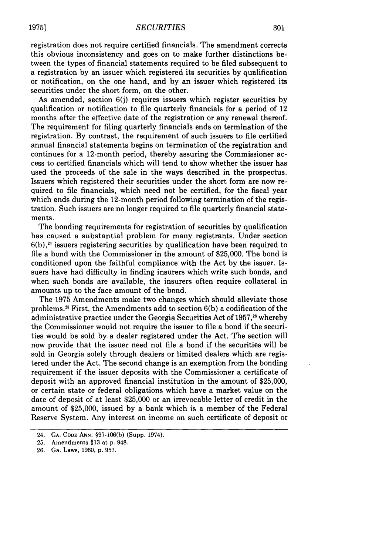registration does not require certified financials. The amendment corrects this obvious inconsistency and goes on to make further distinctions between the types of financial statements required to be filed subsequent to a registration by an issuer which registered its securities by qualification or notification, on the one hand, and by an issuer which registered its securities under the short form, on the other.

As amended, section 6(j) requires issuers which register securities by qualification or notification to file quarterly financials for a period of 12 months after the effective date of the registration or any renewal thereof. The requirement for filing quarterly financials ends on termination of the registration. By contrast, the requirement of such issuers to file certified annual financial statements begins on termination of the registration and continues for a 12-month period, thereby assuring the Commissioner access to certified financials which will tend to show whether the issuer has used the proceeds of the sale in the ways described in the prospectus. Issuers which registered their securities under the short form are now required to file financials, which need not be certified, for the fiscal year which ends during the 12-month period following termination of the registration. Such issuers are no longer required to file quarterly financial statements.

The bonding requirements for registration of securities by qualification has caused a substantial problem for many registrants. Under section  $6(b)$ ,<sup>24</sup> issuers registering securities by qualification have been required to file a bond with the Commissioner in the amount of \$25,000. The bond is conditioned upon the faithful compliance with the Act by the issuer. Issuers have had difficulty in finding insurers which write such bonds, and when such bonds are available, the insurers often require collateral in amounts up to the face amount of the bond.

The 1975 Amendments make two changes which should alleviate those problems.<sup>25</sup> First, the Amendments add to section  $6(b)$  a codification of the administrative practice under the Georgia Securities Act of 1957,<sup>26</sup> whereby the Commissioner would not require the issuer to file a bond if the securities would be sold by a dealer registered under the Act. The section will now provide that the issuer need not file a bond if the securities will be sold in Georgia solely through dealers or limited dealers which are registered under the Act. The second change is an exemption from the bonding requirement if the issuer deposits with the Commissioner a certificate of deposit with an approved financial institution in the amount of \$25,000, or certain state or federal obligations which have a market value on the date of deposit of at least \$25,000 or an irrevocable letter of credit in the amount of \$25,000, issued by a bank which is a member of the Federal Reserve System. Any interest on income on such certificate of deposit or

<sup>24.</sup> **GA. CODE ANN.** §97-106(b) (Supp. 1974).

<sup>25.</sup> Amendments §13 at p. 948.

<sup>26.</sup> Ga. Laws, 1960, p. 957.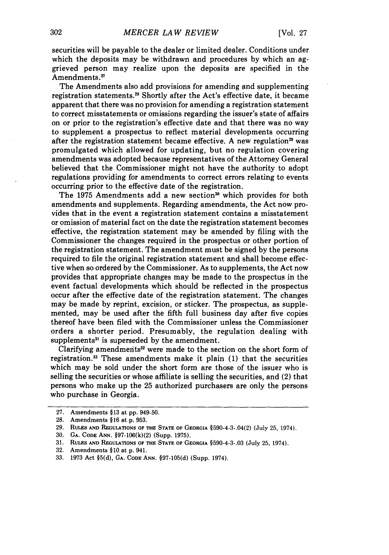securities will be payable to the dealer or limited dealer. Conditions under which the deposits may be withdrawn and procedures **by** which an aggrieved person may realize upon the deposits are specified in the Amendments.<sup>27</sup>

The Amendments also add provisions for amending and supplementing registration statements.<sup>28</sup> Shortly after the Act's effective date, it became apparent that there was no provision for amending a registration statement to correct misstatements or omissions regarding the issuer's state of affairs on or prior to the registration's effective date and that there was no way to supplement a prospectus to reflect material developments occurring after the registration statement became effective. A new regulation<sup>29</sup> was promulgated which allowed for updating, but no regulation covering amendments was adopted because representatives of the Attorney General believed that the Commissioner might not have the authority to adopt regulations providing for amendments to correct errors relating to events occurring prior to the effective date of the registration.

The 1975 Amendments add a new section<sup>30</sup> which provides for both amendments and supplements. Regarding amendments, the Act now provides that in the event a registration statement contains a misstatement or omission of material fact on the date the registration statement becomes effective, the registration statement may be amended **by** filing with the Commissioner the changes required in the prospectus or other portion of the registration statement. The amendment must be signed **by** the persons required to file the original registration statement and shall become effective when so ordered **by** the Commissioner. As to supplements, the Act now provides that appropriate changes may be made to the prospectus in the event factual developments which should be reflected in the prospectus occur after the effective date of the registration statement. The changes may be made **by** reprint, excision, or sticker. The prospectus, as supplemented, may be used after the fifth full business day after five copies thereof have been filed with the Commissioner unless the Commissioner orders a shorter period. Presumably, the regulation dealing with supplements31 is superseded **by** the amendment.

Clarifying amendments<sup>32</sup> were made to the section on the short form of registration.33 These amendments make it plain **(1)** that the securities which may be sold under the short form are those of the issuer who is selling the securities or whose affiliate is selling the securities, and (2) that persons who make up the **25** authorized purchasers are only the persons who purchase in Georgia.

**<sup>27.</sup>** Amendments §13 at **pp.** 949-50.

<sup>28.</sup> Amendments §16 at p. 953.

<sup>29.</sup> RULES **AND REGULATIONS** OF **THE STATE** OF **GEORGIA** §590-4-3-.04(2) (July 25, 1974).

<sup>30.</sup> **GA. CODE** ANN. §97-106(k)(2) (Supp. 1975).

<sup>31.</sup> **RULES AND REGULATIONS** OF THE **STATE OF GEORGIA** §590-4-3-.03 (July 25, 1974).

<sup>32.</sup> Amendments §10,at p. 941.

**<sup>33.</sup>** 1973 Act §5(d), **GA. CODE ANN.** §97-105(d) (Supp. 1974).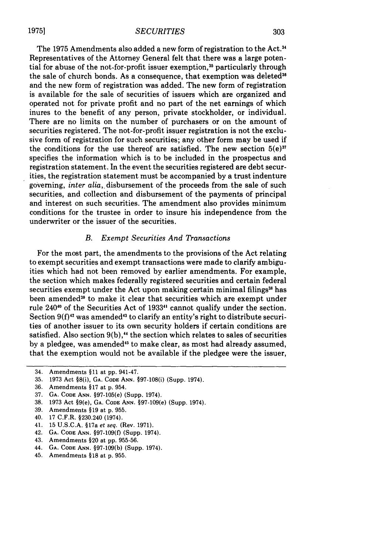#### *SECURITIES*

The 1975 Amendments also added a new form of registration to the Act.<sup>34</sup> Representatives of the Attorney General felt that there was a large potential for abuse of the not-for-profit issuer exemption,<sup>35</sup> particularly through the sale of church bonds. As a consequence, that exemption was deleted $36$ and the new form of registration was added. The new form of registration is available for the sale of securities of issuers which are organized and operated not for private profit and no part of the net earnings of which inures to the benefit of any person, private stockholder, or individual. There are no limits on the number of purchasers or on the amount of securities registered. The not-for-profit issuer registration is not the exclusive form of registration for such securities; any other form may be used if the conditions for the use thereof are satisfied. The new section  $5(e)^{37}$ specifies the information which is to be included in the prospectus and registration statement. In the event the securities registered are debt securities, the registration statement must be accompanied by a trust indenture governing, *inter alia,,* disbursement of the proceeds from the sale of such securities, and collection and disbursement of the payments of principal and interest on such securities. The amendment also provides minimum conditions for the trustee in order to insure his independence from the underwriter or the issuer of the securities.

# *B. Exempt Securities And Transactions*

For the most part, the amendments to the provisions of the Act relating to exempt securities and exempt transactions were made to clarify ambiguities which had not been removed by earlier amendments. For example, the section which makes federally registered securities and certain federal securities exempt under the Act upon making certain minimal filings<sup>38</sup> has been amended<sup>39</sup> to make it clear that securities which are exempt under rule 240<sup>40</sup> of the Securities Act of 1933<sup>41</sup> cannot qualify under the section. Section  $9(f)^{42}$  was amended<sup>43</sup> to clarify an entity's right to distribute securities of another issuer to its own security holders if certain conditions are satisfied. Also section  $9(b)$ ,<sup> $\boldsymbol{4}$ </sup> the section which relates to sales of securities by a pledgee, was amended<sup>45</sup> to make clear, as most had already assumed, that the exemption would not be available if the pledgee were the issuer,

40. 17 C.F.R. §230.240 (1974).

- 42. **GA. CODE ANN.** §97-109(f) (Supp. 1974).
- 43. Amendments §20 at pp. 955-56.
- 44. GA. CODE ANN. §97-109(b) (Supp. 1974).
- 45. Amendments §18 at p. 955.

**19751**

<sup>34.</sup> Amendments §11 at pp. 941-47.

<sup>35. 1973</sup> Act §8(i), **GA.** CODE ANN. §97-108(i) (Supp. 1974).

<sup>36.</sup> Amendments §17 at p. 954.

<sup>37.</sup> **GA. CODE** ANN. §97-105(e) (Supp. 1974).

<sup>38. 1973</sup> Act §9(e), **GA.** CODE ANN. §97-109(e) (Supp. 1974).

<sup>39.</sup> Amendments §19 at p. 955.

<sup>41. 15</sup> U.S.C.A. §17a *et seq.* (Rev. 1971).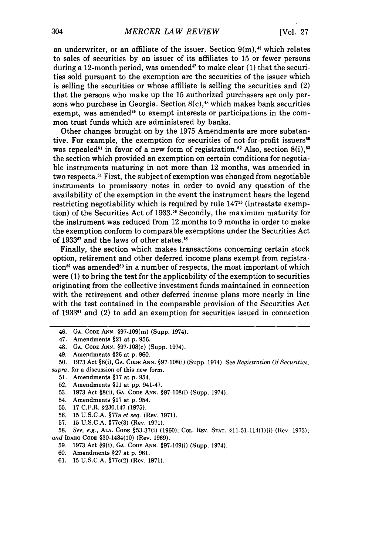an underwriter, or an affiliate of the issuer. Section  $9(m)$ ,<sup>46</sup> which relates to sales of securities by an issuer of its affiliates to 15 or fewer persons during a 12-month period, was amended<sup>47</sup> to make clear  $(1)$  that the securities sold pursuant to the exemption are the securities of the issuer which is selling the securities or whose affiliate is selling the securities and (2) that the persons who make up the 15 authorized purchasers are only persons who purchase in Georgia. Section  $8(c)$ ,<sup>48</sup> which makes bank securities exempt, was amended<sup>49</sup> to exempt interests or participations in the common trust funds which are administered by banks.

Other changes brought on by the 1975 Amendments are more substantive. For example, the exemption for securities of not-for-profit issuers<sup>50</sup> was repealed<sup>51</sup> in favor of a new form of registration.<sup>52</sup> Also, section  $8(i)$ ,<sup>53</sup> the section which provided an exemption on certain conditions for negotiable instruments maturing in not more than 12 months, was amended in two respects. <sup>5</sup> ' First, the subject of exemption was changed from negotiable instruments to promissory notes in order to avoid any question of the availability of the exemption in the event the instrument bears the legend restricting negotiability which is required by rule  $147<sup>55</sup>$  (intrastate exemption) of the Securities Act of 1933.<sup>56</sup> Secondly, the maximum maturity for the instrument was reduced from 12 months to 9 months in order to make the exemption conform to comparable exemptions under the Securities Act of 1933<sup>57</sup> and the laws of other states.<sup>58</sup>

Finally, the section which makes transactions concerning certain stock option, retirement and other deferred income plans exempt from registration<sup>59</sup> was amended<sup>60</sup> in a number of respects, the most important of which were (1) to bring the test for the applicability of the exemption to securities originating from the collective investment funds maintained in connection with the retirement and other deferred income plans more nearly in line with the test contained in the comparable provision of the Securities Act of 1933<sup>61</sup> and (2) to add an exemption for securities issued in connection

- 48. **GA. CODE ANN. §97-108(c) (Supp. 1974).**
- 49. Amendments **§26** at **p. 960.**

- 51. Amendments §17 at p. 954.
- 52. Amendments **§11** at pp. 941-47.
- 53. 1973 Act §8(i), **GA. CODE ANN.** §97-108(i) (Supp. 1974).
- 54. Amendments §17 at p. 954.
- 55. 17 C.F.R. §230.147 (1975).
- 56. 15 U.S.C.A. §77a *et seq.* (Rev. 1971).
- 57. 15 U.S.C.A. §77c(3) (Rev. 1971).

**58.** *See, e.g.,* **ALA.** CODE §53-37(i) **(1960);** COL. REV. **STAT.** §11-51-114(1)(i) (Rev. 1973); *and* **IDAHO CODE** §30-1434(10) (Rev. **1969).**

- **59. 1973** Act §9(i), **GA. CODE ANN.** §97-109(i) (Supp. 1974).
- **60.** Amendments **§27** at p. **961.**
- **61. 15 U.S.C.A.** §77c(2) (Rev. **1971).**

<sup>46.</sup> **GA. CODE ANN.** §97-109(m) (Supp. 1974).

**<sup>47.</sup>** Amendments §21 at **p. 956.**

**<sup>50. 1973</sup>** Act §8(i), **GA. CODE** ANN. §97-108(i) (Supp. 1974). See *Registration Of Securities, supra,* for a discussion of this new form.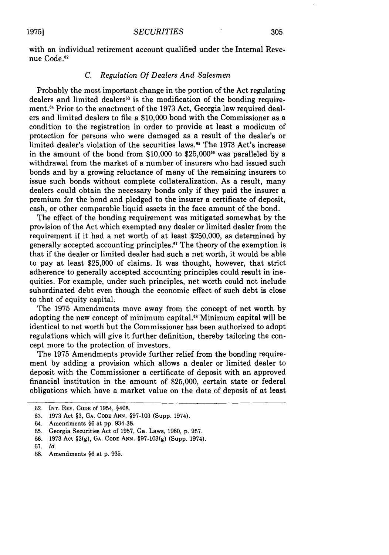305

with an individual retirement account qualified under the Internal Revenue Code.<sup>62</sup>

# *C. Regulation Of Dealers And Salesmen*

Probably the most important change in the portion of the Act regulating dealers and limited dealers" is the modification of the bonding requirement. 4 Prior to the enactment of the 1973 Act, Georgia law required dealers and limited dealers to file a \$10,000 bond with the Commissioner as a condition to the registration in order to provide at least a modicum of protection for persons who were damaged as a result of the dealer's or limited dealer's violation of the securities laws.<sup>65</sup> The 1973 Act's increase in the amount of the bond from  $$10,000$  to  $$25,000$ <sup>66</sup> was paralleled by a withdrawal from the market of a number of insurers who had issued such bonds and by a growing reluctance of many of the remaining insurers to issue such bonds without complete collateralization. As a result, many dealers could obtain the necessary bonds only if they paid the insurer a premium for the bond and pledged to the insurer a certificate of deposit, cash, or other comparable liquid assets in the face amount of the bond.

The effect of the bonding requirement was mitigated somewhat by the provision of the Act which exempted any dealer or limited dealer from the requirement if it had a net worth of at least \$250,000, as determined by generally accepted accounting principles.<sup>67</sup> The theory of the exemption is that if the dealer or limited dealer had such a net worth, it would be able to pay at least \$25,000 of claims. It was thought, however, that strict adherence to generally accepted accounting principles could result in inequities. For example, under such principles, net worth could not include subordinated debt even though the economic effect of such debt is close to that of equity capital.

The 1975 Amendments move away from the concept of net worth by adopting the new concept of minimum capital.<sup>68</sup> Minimum capital will be identical to net worth but the Commissioner has been authorized to adopt regulations which will give it further definition, thereby tailoring the concept more to the protection of investors.

The 1975 Amendments provide further relief from the bonding requirement by adding a provision which allows a dealer or limited dealer to deposit with the Commissioner a certificate of deposit with an approved financial institution in the amount of \$25,000, certain state or federal obligations which have a market value on the date of deposit of at least

<sup>62.</sup> **INT.** REV. **CODE** of 1954, §408.

<sup>63. 1973</sup> Act §3, **GA. CODE ANN.** §97-103 (Supp. 1974).

<sup>64.</sup> Amendments §6 at pp. 934-38.

<sup>65.</sup> Georgia Securities Act of 1957, Ga. Laws, 1960, p. 957.

<sup>66. 1973</sup> Act §3(g), GA. CODE ANN. §97-103(g) (Supp. 1974).

<sup>67.</sup> *Id.*

<sup>68.</sup> Amendments §6 at p. 935.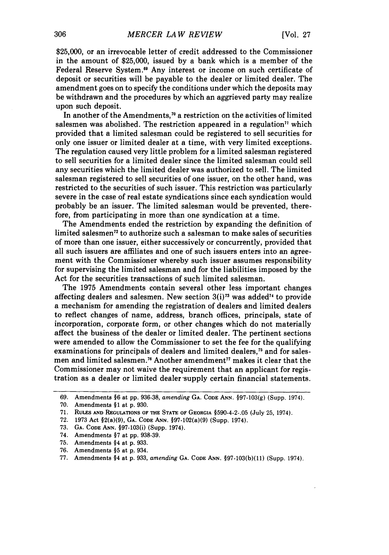\$25,000, or an irrevocable letter of credit addressed to the Commissioner in the amount of \$25,000, issued by a bank which is a member of the Federal Reserve System.<sup>69</sup> Any interest or income on such certificate of deposit or securities will be payable to the dealer or limited dealer. The amendment goes on to specify the conditions under which the deposits may be withdrawn and the procedures by which an aggrieved party may realize upon such deposit.

In another of the Amendments,<sup> $\pi$ </sup> a restriction on the activities of limited salesmen was abolished. The restriction appeared in a regulation<sup> $n$ </sup> which provided that a limited salesman could be registered to sell securities for only one issuer or limited dealer at a time, with very limited exceptions. The regulation caused very little problem for a limited salesman registered to sell securities for a limited dealer since the limited salesman could sell any securities which the limited dealer was authorized to sell. The limited salesman registered to sell securities of one issuer, on the other hand, was restricted to the securities of such issuer. This restriction was particularly severe in the case of real estate syndications since each syndication would probably be an issuer. The limited salesman would be prevented, therefore, from participating in more than one syndication at a time.

The Amendments ended the restriction by expanding the definition of limited salesmen<sup>72</sup> to authorize such a salesman to make sales of securities of more than one issuer, either successively or concurrently, provided that all such issuers are affiliates and one of such issuers enters into an agreement with the Commissioner whereby such issuer assumes responsibility for supervising the limited salesman and for the liabilities imposed by the Act for the securities transactions of such limited salesman.

The 1975 Amendments contain several other less important changes affecting dealers and salesmen. New section 3(i)<sup>73</sup> was added<sup>74</sup> to provide a mechanism for amending the registration of dealers and limited dealers to reflect changes of name, address, branch offices, principals, state of incorporation, corporate form, or other changes which do not materially affect the business of the dealer or limited dealer. The pertinent sections were amended to allow the Commissioner to set the fee for the qualifying examinations for principals of dealers and limited dealers,<sup>75</sup> and for salesmen and limited salesmen.<sup>76</sup> Another amendment<sup>77</sup> makes it clear that the Commissioner may not waive the requirement that an applicant for registration as a dealer or limited dealer supply certain financial statements.

- **75.** Amendments §4 at **p. 933.**
- **76.** Amendments **§5** at **p.** 934.

<sup>69.</sup> Amendments **§6** at pp. 936-38, *amending* **GA. CODE ANN.** §97-103(g) (Supp. 1974).

<sup>70.</sup> Amendments **§1** at p. 930.

**<sup>71.</sup>** RuLEs **AND REGULATIONS OF THE STATE OF GEORGIA** §590-4-2-.05 (July **25,** 1974).

**<sup>72. 1973</sup>** Act §2(a)(9), **GA. CODE ANN.** §97-102(a)(9) (Supp. 1974).

**<sup>73.</sup> GA. CODE ANN.** §97-103(i) (Supp. 1974).

<sup>74.</sup> Amendments **§7** at **pp. 938-39.**

**<sup>77.</sup>** Amendments §4 at **p. 933,** *amending* **GA. CODE ANN. §97-103(b)(11)** (Supp. 1974).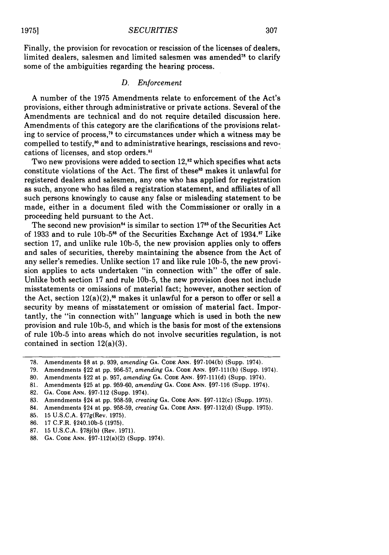Finally, the provision for revocation or rescission of the licenses of dealers, limited dealers, salesmen and limited salesmen was amended<sup>78</sup> to clarify some of the ambiguities regarding the hearing process.

# *D. Enforcement*

A number of the 1975 Amendments relate to enforcement of the Act's provisions, either through administrative or private actions. Several of the Amendments are technical and do not require detailed discussion here. Amendments of this category are the clarifications of the provisions relating to service of process,<sup>79</sup> to circumstances under which a witness may be compelled to testify,<sup>80</sup> and to administrative hearings, rescissions and revocations of licenses, and stop orders."'

Two new provisions were added to section  $12$ ,<sup>82</sup> which specifies what acts constitute violations of the Act. The first of these<sup>83</sup> makes it unlawful for registered dealers and salesmen, any one who has applied for registration as such, anyone who has filed a registration statement, and affiliates of all such persons knowingly to cause any false or misleading statement to be made, either in a document filed with the Commissioner or orally in a proceeding held pursuant to the Act.

The second new provision<sup>84</sup> is similar to section 17<sup>85</sup> of the Securities Act of 1933 and to rule 10b-5 $^{86}$  of the Securities Exchange Act of 1934. $^{87}$  Like section 17, and unlike rule 10b-5, the new provision applies only to offers and sales of securities, thereby maintaining the absence from the Act of any seller's remedies. Unlike section 17 and like rule 10b-5, the new provision applies to acts undertaken "in connection with" the offer of sale. Unlike both section 17 and rule 10b-5, the new provision does not include misstatements or omissions of material fact; however, another section of the Act, section  $12(a)(2)$ ,<sup>88</sup> makes it unlawful for a person to offer or sell a security by means of misstatement or omission of material fact. Importantly, the "in connection with" language which is used in both the new provision and rule 10b-5, and which is the basis for most of the extensions of rule **10b-5** into areas which do not involve securities regulation, is not contained in section 12(a)(3).

<sup>78.</sup> Amendments §8 at p. 939, *amending* **GA. CODE ANN.** §97-104(b) (Supp. 1974).

<sup>79.</sup> Amendments §22 at pp. 956-57, *amending* GA. **CODE ANN.** §97-111(b) (Supp. 1974).

<sup>80.</sup> Amendments §22 at p. 957, *amending* **GA. CODE ANN.** §97-111(d) (Supp. 1974).

<sup>81.</sup> Amendments §25 at pp. 959-60, *amending* **GA. CODE ANN.** §97-116 (Supp. 1974).

<sup>82.</sup> **GA. CODE ANN.** §97-112 (Supp. 1974).

<sup>83.</sup> Amendments §24 at pp. 958-59, *creating* **GA. CODE ANN.** §97-112(c) (Supp. 1975).

<sup>84.</sup> Amendments §24 at pp. 958-59, *creating* **GA. CODE ANN.** §97-112(d) (Supp. 1975).

<sup>85. 15</sup> U.S.C.A. §77g(Rev. 1975).

<sup>86. 17</sup> C.F.R. §240.10b-5 (1975).

<sup>87. 15</sup> U.S.C.A. §78j(b) (Rev. 1971).

<sup>88.</sup> **GA. CODE ANN.** §97-112(a)(2) (Supp. 1974).